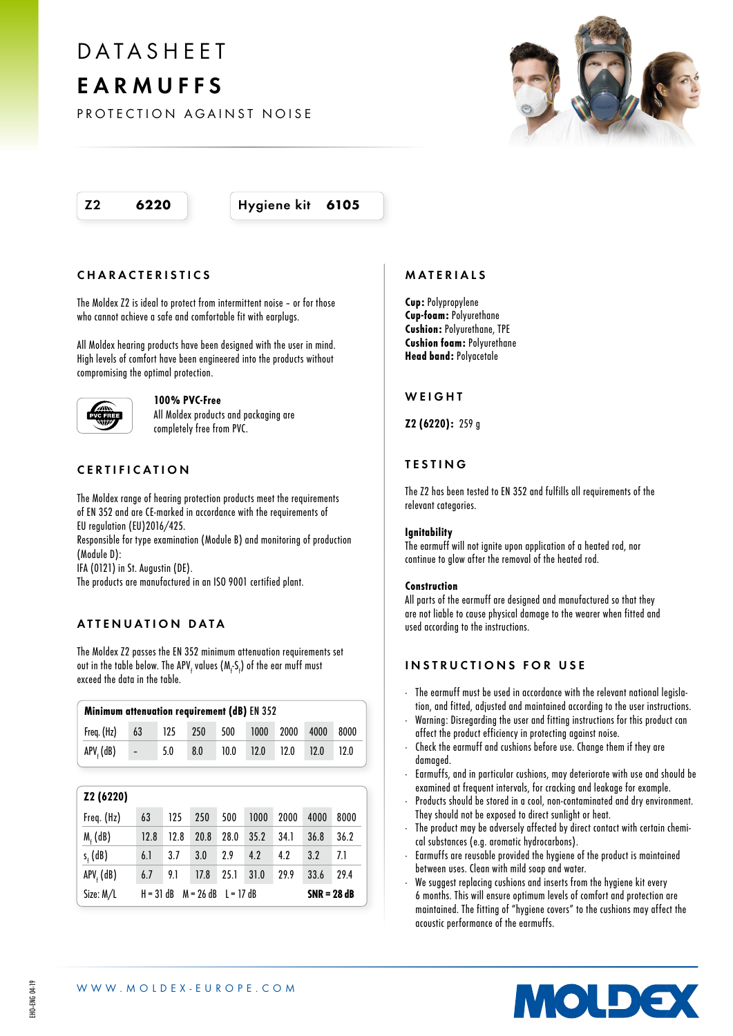## DATASHEET EARMUFFS

PROTECTION AGAINST NOISE

Z2 6220 Hygiene kit 6105

## CHARACTERISTICS

The Moldex Z2 is ideal to protect from intermittent noise – or for those who cannot achieve a safe and comfortable fit with earplugs.

All Moldex hearing products have been designed with the user in mind. High levels of comfort have been engineered into the products without compromising the optimal protection.



#### 100% PVC-Free

All Moldex products and packaging are completely free from PVC.

## CERTIFICATION

The Moldex range of hearing protection products meet the requirements of EN 352 and are CE-marked in accordance with the requirements of EU regulation (EU)2016/425.

Responsible for type examination (Module B) and monitoring of production (Module D):

IFA (0121) in St. Augustin (DE).

The products are manufactured in an ISO 9001 certified plant.

## ATTENUATION DATA

The Moldex Z2 passes the EN 352 minimum attenuation requirements set out in the table below. The APV<sub>f</sub> values (M<sub>f</sub>-S<sub>f</sub>) of the ear muff must exceed the data in the table.

| Minimum attenuation requirement (dB) EN 352 |        |               |     |      |           |           |      |      |  |  |  |
|---------------------------------------------|--------|---------------|-----|------|-----------|-----------|------|------|--|--|--|
| Freq. (Hz)                                  | 63     | $\degree$ 125 | 250 | 500  |           | 1000 2000 | 4000 | 8000 |  |  |  |
| $APVf$ (dB)                                 | $\sim$ | 5.0           | 8.0 | 10.0 | 12.0 12.0 |           | 12.0 | 12.0 |  |  |  |
|                                             |        |               |     |      |           |           |      |      |  |  |  |

| Z2 (6220)           |                                           |      |      |      |      |      |               |      |  |
|---------------------|-------------------------------------------|------|------|------|------|------|---------------|------|--|
| Freq. (Hz)          | 63                                        | 125  | 250  | 500  | 1000 | 2000 | 4000          | 8000 |  |
| $M_f$ (dB)          | 12.8                                      | 12.8 | 20.8 | 28.0 | 35.2 | 34.1 | 36.8          | 36.2 |  |
| $s_{\epsilon}$ (dB) | 6.1                                       | 3.7  | 3.0  | 2.9  | 4.2  | 4.2  | 3.2           | 7.1  |  |
| $APVf$ (dB)         | 6.7                                       | 9.1  | 17.8 | 25.1 | 31.0 | 29.9 | 33.6          | 29.4 |  |
| Size: M/L           | $M = 26$ dB<br>$H = 31$ dB<br>$I = 17$ dB |      |      |      |      |      | $SNR = 28 dB$ |      |  |



Cup: Polypropylene Cup-foam: Polyurethane Cushion: Polyurethane, TPE Cushion foam: Polyurethane Head band: Polyacetale

#### **WEIGHT**

Z2 (6220): 259 g

## TESTING

The Z2 has been tested to EN 352 and fulfills all requirements of the relevant categories.

#### **Ignitability**

The earmuff will not ignite upon application of a heated rod, nor continue to glow after the removal of the heated rod.

#### Construction

All parts of the earmuff are designed and manufactured so that they are not liable to cause physical damage to the wearer when fitted and used according to the instructions.

#### INSTRUCTIONS FOR USE

- · The earmuff must be used in accordance with the relevant national legislation, and fitted, adjusted and maintained according to the user instructions.
- · Warning: Disregarding the user and fitting instructions for this product can affect the product efficiency in protecting against noise.
- Check the earmuff and cushions before use. Change them if they are damaged.
- · Earmuffs, and in particular cushions, may deteriorate with use and should be examined at frequent intervals, for cracking and leakage for example.
- Products should be stored in a cool, non-contaminated and dry environment. They should not be exposed to direct sunlight or heat.
- The product may be adversely affected by direct contact with certain chemical substances (e.g. aromatic hydrocarbons).
- · Earmuffs are reusable provided the hygiene of the product is maintained between uses. Clean with mild soap and water.
- We suggest replacing cushions and inserts from the hygiene kit every 6 months. This will ensure optimum levels of comfort and protection are maintained. The fitting of "hygiene covers" to the cushions may affect the acoustic performance of the earmuffs.